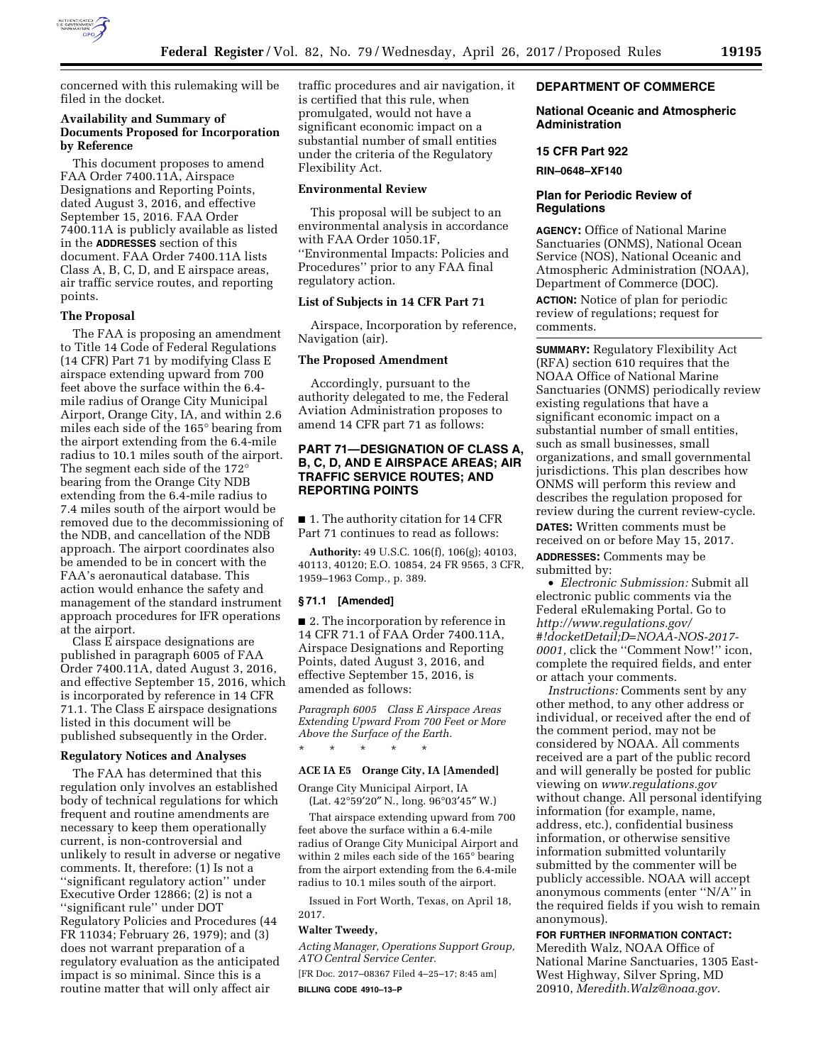

concerned with this rulemaking will be filed in the docket.

# **Availability and Summary of Documents Proposed for Incorporation by Reference**

This document proposes to amend FAA Order 7400.11A, Airspace Designations and Reporting Points, dated August 3, 2016, and effective September 15, 2016. FAA Order 7400.11A is publicly available as listed in the **ADDRESSES** section of this document. FAA Order 7400.11A lists Class A, B, C, D, and E airspace areas, air traffic service routes, and reporting points.

# **The Proposal**

The FAA is proposing an amendment to Title 14 Code of Federal Regulations (14 CFR) Part 71 by modifying Class E airspace extending upward from 700 feet above the surface within the 6.4 mile radius of Orange City Municipal Airport, Orange City, IA, and within 2.6 miles each side of the 165° bearing from the airport extending from the 6.4-mile radius to 10.1 miles south of the airport. The segment each side of the 172° bearing from the Orange City NDB extending from the 6.4-mile radius to 7.4 miles south of the airport would be removed due to the decommissioning of the NDB, and cancellation of the NDB approach. The airport coordinates also be amended to be in concert with the FAA's aeronautical database. This action would enhance the safety and management of the standard instrument approach procedures for IFR operations at the airport.

Class E airspace designations are published in paragraph 6005 of FAA Order 7400.11A, dated August 3, 2016, and effective September 15, 2016, which is incorporated by reference in 14 CFR 71.1. The Class E airspace designations listed in this document will be published subsequently in the Order.

#### **Regulatory Notices and Analyses**

The FAA has determined that this regulation only involves an established body of technical regulations for which frequent and routine amendments are necessary to keep them operationally current, is non-controversial and unlikely to result in adverse or negative comments. It, therefore: (1) Is not a ''significant regulatory action'' under Executive Order 12866; (2) is not a ''significant rule'' under DOT Regulatory Policies and Procedures (44 FR 11034; February 26, 1979); and (3) does not warrant preparation of a regulatory evaluation as the anticipated impact is so minimal. Since this is a routine matter that will only affect air

traffic procedures and air navigation, it is certified that this rule, when promulgated, would not have a significant economic impact on a substantial number of small entities under the criteria of the Regulatory Flexibility Act.

# **Environmental Review**

This proposal will be subject to an environmental analysis in accordance with FAA Order 1050.1F, ''Environmental Impacts: Policies and Procedures'' prior to any FAA final regulatory action.

# **List of Subjects in 14 CFR Part 71**

Airspace, Incorporation by reference, Navigation (air).

#### **The Proposed Amendment**

Accordingly, pursuant to the authority delegated to me, the Federal Aviation Administration proposes to amend 14 CFR part 71 as follows:

# **PART 71—DESIGNATION OF CLASS A, B, C, D, AND E AIRSPACE AREAS; AIR TRAFFIC SERVICE ROUTES; AND REPORTING POINTS**

■ 1. The authority citation for 14 CFR Part 71 continues to read as follows:

**Authority:** 49 U.S.C. 106(f), 106(g); 40103, 40113, 40120; E.O. 10854, 24 FR 9565, 3 CFR, 1959–1963 Comp., p. 389.

# **§ 71.1 [Amended]**

■ 2. The incorporation by reference in 14 CFR 71.1 of FAA Order 7400.11A, Airspace Designations and Reporting Points, dated August 3, 2016, and effective September 15, 2016, is amended as follows:

*Paragraph 6005 Class E Airspace Areas Extending Upward From 700 Feet or More Above the Surface of the Earth.* 

#### **ACE IA E5 Orange City, IA [Amended]**

\* \* \* \* \*

Orange City Municipal Airport, IA (Lat. 42°59′20″ N., long. 96°03′45″ W.)

That airspace extending upward from 700 feet above the surface within a 6.4-mile radius of Orange City Municipal Airport and within 2 miles each side of the 165° bearing from the airport extending from the 6.4-mile radius to 10.1 miles south of the airport.

Issued in Fort Worth, Texas, on April 18, 2017.

#### **Walter Tweedy,**

*Acting Manager, Operations Support Group, ATO Central Service Center.* 

[FR Doc. 2017–08367 Filed 4–25–17; 8:45 am] **BILLING CODE 4910–13–P** 

### **DEPARTMENT OF COMMERCE**

#### **National Oceanic and Atmospheric Administration**

#### **15 CFR Part 922**

**RIN–0648–XF140** 

### **Plan for Periodic Review of Regulations**

**AGENCY:** Office of National Marine Sanctuaries (ONMS), National Ocean Service (NOS), National Oceanic and Atmospheric Administration (NOAA), Department of Commerce (DOC).

**ACTION:** Notice of plan for periodic review of regulations; request for comments.

**SUMMARY:** Regulatory Flexibility Act (RFA) section 610 requires that the NOAA Office of National Marine Sanctuaries (ONMS) periodically review existing regulations that have a significant economic impact on a substantial number of small entities, such as small businesses, small organizations, and small governmental jurisdictions. This plan describes how ONMS will perform this review and describes the regulation proposed for review during the current review-cycle.

**DATES:** Written comments must be received on or before May 15, 2017.

**ADDRESSES:** Comments may be submitted by:

• *Electronic Submission:* Submit all electronic public comments via the Federal eRulemaking Portal. Go to *[http://www.regulations.gov/](http://www.regulations.gov/#!docketDetail;D=NOAA-NOS-2017-0001)  [#!docketDetail;D=NOAA-NOS-2017-](http://www.regulations.gov/#!docketDetail;D=NOAA-NOS-2017-0001)  [0001,](http://www.regulations.gov/#!docketDetail;D=NOAA-NOS-2017-0001)* click the ''Comment Now!'' icon, complete the required fields, and enter or attach your comments.

*Instructions:* Comments sent by any other method, to any other address or individual, or received after the end of the comment period, may not be considered by NOAA. All comments received are a part of the public record and will generally be posted for public viewing on *[www.regulations.gov](http://www.regulations.gov)*  without change. All personal identifying information (for example, name, address, etc.), confidential business information, or otherwise sensitive information submitted voluntarily submitted by the commenter will be publicly accessible. NOAA will accept anonymous comments (enter ''N/A'' in the required fields if you wish to remain anonymous).

**FOR FURTHER INFORMATION CONTACT:**  Meredith Walz, NOAA Office of National Marine Sanctuaries, 1305 East-West Highway, Silver Spring, MD 20910, *[Meredith.Walz@noaa.gov.](mailto:Meredith.Walz@noaa.gov)*